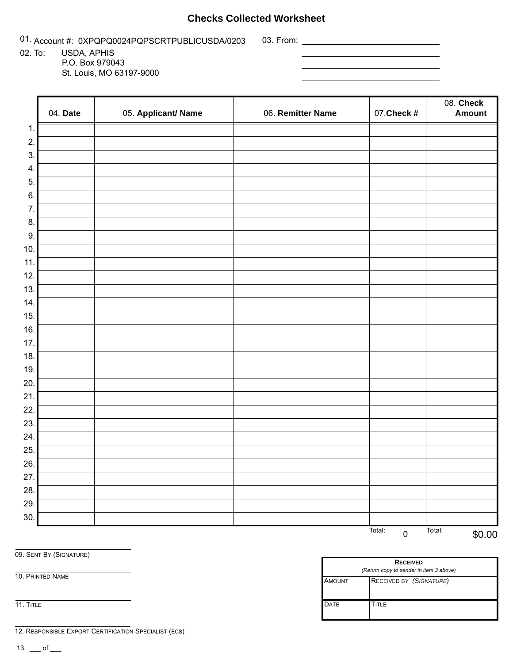## **Checks Collected Worksheet**

01. Account #: 0XPQPQ0024PQPSCRTPUBLICUSDA/0203 03. From: \_\_\_\_\_\_\_\_\_\_\_\_\_\_\_\_\_\_\_\_\_

02. To: USDA, APHIS P.O. Box 979043

St. Louis, MO 63197-9000

|     | 04. Date | 05. Applicant/ Name | 06. Remitter Name | 07. Check #         | $08.$ Check<br><b>Amount</b> |
|-----|----------|---------------------|-------------------|---------------------|------------------------------|
| 1.  |          |                     |                   |                     |                              |
| 2.  |          |                     |                   |                     |                              |
| 3.  |          |                     |                   |                     |                              |
| 4.  |          |                     |                   |                     |                              |
| 5.  |          |                     |                   |                     |                              |
| 6.  |          |                     |                   |                     |                              |
| 7.  |          |                     |                   |                     |                              |
| 8.  |          |                     |                   |                     |                              |
| 9.  |          |                     |                   |                     |                              |
| 10. |          |                     |                   |                     |                              |
| 11. |          |                     |                   |                     |                              |
| 12. |          |                     |                   |                     |                              |
| 13. |          |                     |                   |                     |                              |
| 14. |          |                     |                   |                     |                              |
| 15. |          |                     |                   |                     |                              |
| 16. |          |                     |                   |                     |                              |
| 17. |          |                     |                   |                     |                              |
| 18. |          |                     |                   |                     |                              |
| 19. |          |                     |                   |                     |                              |
| 20. |          |                     |                   |                     |                              |
| 21. |          |                     |                   |                     |                              |
| 22. |          |                     |                   |                     |                              |
| 23. |          |                     |                   |                     |                              |
| 24. |          |                     |                   |                     |                              |
| 25. |          |                     |                   |                     |                              |
| 26. |          |                     |                   |                     |                              |
| 27. |          |                     |                   |                     |                              |
| 28. |          |                     |                   |                     |                              |
| 29. |          |                     |                   |                     |                              |
| 30. |          |                     |                   |                     |                              |
|     |          |                     |                   | Total:<br>$\pmb{0}$ | Total:<br>\$0.00             |

AMOUNT RECEIVED BY *(SIGNATURE)*

DATE **TITLE** 

**RECEIVED** *(Return copy to sender in item 3 above)* 0 \$0.00

09. SENT BY (SIGNATURE)

10. PRINTED NAME

11. TITLE

12. RESPONSIBLE EXPORT CERTIFICATION SPECIALIST (ECS)